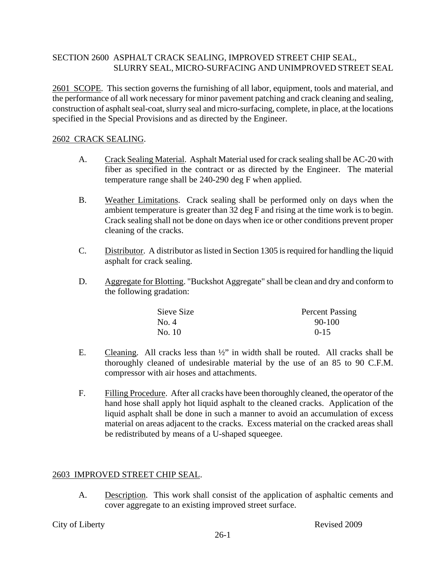## SECTION 2600 ASPHALT CRACK SEALING, IMPROVED STREET CHIP SEAL, SLURRY SEAL, MICRO-SURFACING AND UNIMPROVED STREET SEAL

2601 SCOPE. This section governs the furnishing of all labor, equipment, tools and material, and the performance of all work necessary for minor pavement patching and crack cleaning and sealing, construction of asphalt seal-coat, slurry seal and micro-surfacing, complete, in place, at the locations specified in the Special Provisions and as directed by the Engineer.

#### 2602 CRACK SEALING.

- A. Crack Sealing Material. Asphalt Material used for crack sealing shall be AC-20 with fiber as specified in the contract or as directed by the Engineer. The material temperature range shall be 240-290 deg F when applied.
- B. Weather Limitations. Crack sealing shall be performed only on days when the ambient temperature is greater than 32 deg F and rising at the time work is to begin. Crack sealing shall not be done on days when ice or other conditions prevent proper cleaning of the cracks.
- C. Distributor. A distributor as listed in Section 1305 is required for handling the liquid asphalt for crack sealing.
- D. Aggregate for Blotting. "Buckshot Aggregate" shall be clean and dry and conform to the following gradation:

| Sieve Size | <b>Percent Passing</b> |
|------------|------------------------|
| No. 4      | 90-100                 |
| No. 10     | $0 - 15$               |

- E. Cleaning. All cracks less than  $\frac{1}{2}$  in width shall be routed. All cracks shall be thoroughly cleaned of undesirable material by the use of an 85 to 90 C.F.M. compressor with air hoses and attachments.
- F. Filling Procedure. After all cracks have been thoroughly cleaned, the operator of the hand hose shall apply hot liquid asphalt to the cleaned cracks. Application of the liquid asphalt shall be done in such a manner to avoid an accumulation of excess material on areas adjacent to the cracks. Excess material on the cracked areas shall be redistributed by means of a U-shaped squeegee.

## 2603 IMPROVED STREET CHIP SEAL.

A. Description. This work shall consist of the application of asphaltic cements and cover aggregate to an existing improved street surface.

#### City of Liberty **Revised 2009**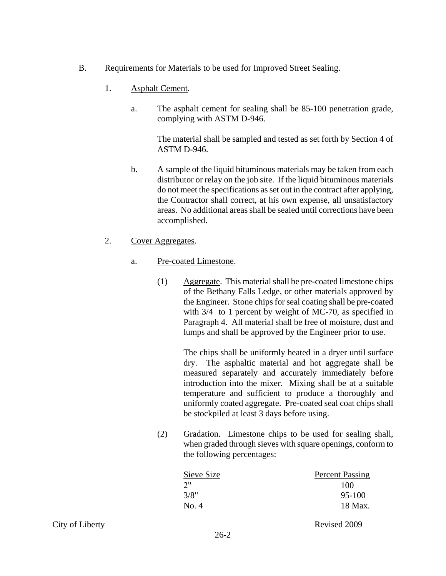## B. Requirements for Materials to be used for Improved Street Sealing.

- 1. Asphalt Cement.
	- a. The asphalt cement for sealing shall be 85-100 penetration grade, complying with ASTM D-946.

The material shall be sampled and tested as set forth by Section 4 of ASTM D-946.

- b. A sample of the liquid bituminous materials may be taken from each distributor or relay on the job site. If the liquid bituminous materials do not meet the specifications as set out in the contract after applying, the Contractor shall correct, at his own expense, all unsatisfactory areas. No additional areas shall be sealed until corrections have been accomplished.
- 2. Cover Aggregates.
	- a. Pre-coated Limestone.
		- (1) Aggregate. This material shall be pre-coated limestone chips of the Bethany Falls Ledge, or other materials approved by the Engineer. Stone chips for seal coating shall be pre-coated with 3/4 to 1 percent by weight of MC-70, as specified in Paragraph 4. All material shall be free of moisture, dust and lumps and shall be approved by the Engineer prior to use.

The chips shall be uniformly heated in a dryer until surface dry. The asphaltic material and hot aggregate shall be measured separately and accurately immediately before introduction into the mixer. Mixing shall be at a suitable temperature and sufficient to produce a thoroughly and uniformly coated aggregate. Pre-coated seal coat chips shall be stockpiled at least 3 days before using.

(2) Gradation. Limestone chips to be used for sealing shall, when graded through sieves with square openings, conform to the following percentages:

| Percent Passing |
|-----------------|
| 100             |
| 95-100          |
| 18 Max.         |
|                 |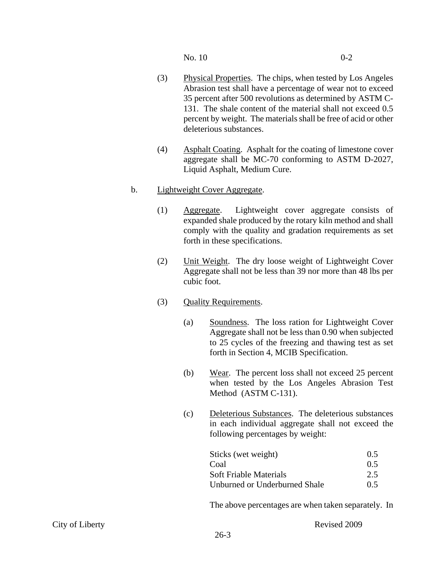$N<sub>0</sub>$ , 10 0-2

- (3) Physical Properties. The chips, when tested by Los Angeles Abrasion test shall have a percentage of wear not to exceed 35 percent after 500 revolutions as determined by ASTM C-131. The shale content of the material shall not exceed 0.5 percent by weight. The materials shall be free of acid or other deleterious substances.
- (4) Asphalt Coating. Asphalt for the coating of limestone cover aggregate shall be MC-70 conforming to ASTM D-2027, Liquid Asphalt, Medium Cure.

# b. Lightweight Cover Aggregate.

- (1) Aggregate. Lightweight cover aggregate consists of expanded shale produced by the rotary kiln method and shall comply with the quality and gradation requirements as set forth in these specifications.
- (2) Unit Weight. The dry loose weight of Lightweight Cover Aggregate shall not be less than 39 nor more than 48 lbs per cubic foot.
- (3) Quality Requirements.
	- (a) Soundness. The loss ration for Lightweight Cover Aggregate shall not be less than 0.90 when subjected to 25 cycles of the freezing and thawing test as set forth in Section 4, MCIB Specification.
	- (b) Wear. The percent loss shall not exceed 25 percent when tested by the Los Angeles Abrasion Test Method (ASTM C-131).
	- (c) Deleterious Substances. The deleterious substances in each individual aggregate shall not exceed the following percentages by weight:

| Sticks (wet weight)           | 0.5 |
|-------------------------------|-----|
| Coal                          | 0.5 |
| Soft Friable Materials        | 2.5 |
| Unburned or Underburned Shale | 0.5 |

The above percentages are when taken separately. In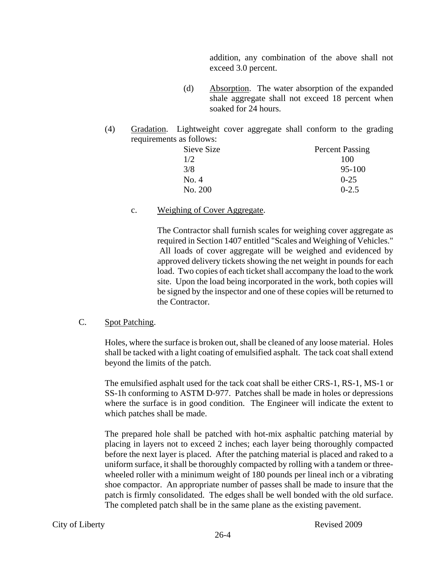addition, any combination of the above shall not exceed 3.0 percent.

- (d) Absorption. The water absorption of the expanded shale aggregate shall not exceed 18 percent when soaked for 24 hours.
- (4) Gradation. Lightweight cover aggregate shall conform to the grading requirements as follows:

| Sieve Size | <b>Percent Passing</b> |
|------------|------------------------|
| 1/2        | 100                    |
| 3/8        | $95 - 100$             |
| No. 4      | $0 - 25$               |
| No. 200    | $0 - 2.5$              |

#### c. Weighing of Cover Aggregate.

The Contractor shall furnish scales for weighing cover aggregate as required in Section 1407 entitled "Scales and Weighing of Vehicles." All loads of cover aggregate will be weighed and evidenced by approved delivery tickets showing the net weight in pounds for each load. Two copies of each ticket shall accompany the load to the work site. Upon the load being incorporated in the work, both copies will be signed by the inspector and one of these copies will be returned to the Contractor.

## C. Spot Patching.

Holes, where the surface is broken out, shall be cleaned of any loose material. Holes shall be tacked with a light coating of emulsified asphalt. The tack coat shall extend beyond the limits of the patch.

The emulsified asphalt used for the tack coat shall be either CRS-1, RS-1, MS-1 or SS-1h conforming to ASTM D-977. Patches shall be made in holes or depressions where the surface is in good condition. The Engineer will indicate the extent to which patches shall be made.

The prepared hole shall be patched with hot-mix asphaltic patching material by placing in layers not to exceed 2 inches; each layer being thoroughly compacted before the next layer is placed. After the patching material is placed and raked to a uniform surface, it shall be thoroughly compacted by rolling with a tandem or threewheeled roller with a minimum weight of 180 pounds per lineal inch or a vibrating shoe compactor. An appropriate number of passes shall be made to insure that the patch is firmly consolidated. The edges shall be well bonded with the old surface. The completed patch shall be in the same plane as the existing pavement.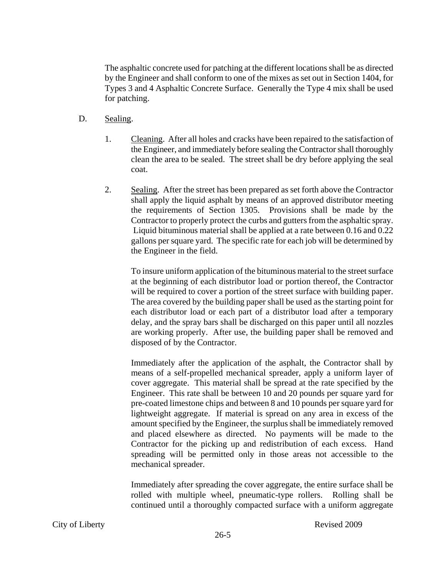The asphaltic concrete used for patching at the different locations shall be as directed by the Engineer and shall conform to one of the mixes as set out in Section 1404, for Types 3 and 4 Asphaltic Concrete Surface. Generally the Type 4 mix shall be used for patching.

- D. Sealing.
	- 1. Cleaning. After all holes and cracks have been repaired to the satisfaction of the Engineer, and immediately before sealing the Contractor shall thoroughly clean the area to be sealed. The street shall be dry before applying the seal coat.
	- 2. Sealing. After the street has been prepared as set forth above the Contractor shall apply the liquid asphalt by means of an approved distributor meeting the requirements of Section 1305. Provisions shall be made by the Contractor to properly protect the curbs and gutters from the asphaltic spray. Liquid bituminous material shall be applied at a rate between 0.16 and 0.22 gallons per square yard. The specific rate for each job will be determined by the Engineer in the field.

To insure uniform application of the bituminous material to the street surface at the beginning of each distributor load or portion thereof, the Contractor will be required to cover a portion of the street surface with building paper. The area covered by the building paper shall be used as the starting point for each distributor load or each part of a distributor load after a temporary delay, and the spray bars shall be discharged on this paper until all nozzles are working properly. After use, the building paper shall be removed and disposed of by the Contractor.

Immediately after the application of the asphalt, the Contractor shall by means of a self-propelled mechanical spreader, apply a uniform layer of cover aggregate. This material shall be spread at the rate specified by the Engineer. This rate shall be between 10 and 20 pounds per square yard for pre-coated limestone chips and between 8 and 10 pounds per square yard for lightweight aggregate. If material is spread on any area in excess of the amount specified by the Engineer, the surplus shall be immediately removed and placed elsewhere as directed. No payments will be made to the Contractor for the picking up and redistribution of each excess. Hand spreading will be permitted only in those areas not accessible to the mechanical spreader.

Immediately after spreading the cover aggregate, the entire surface shall be rolled with multiple wheel, pneumatic-type rollers. Rolling shall be continued until a thoroughly compacted surface with a uniform aggregate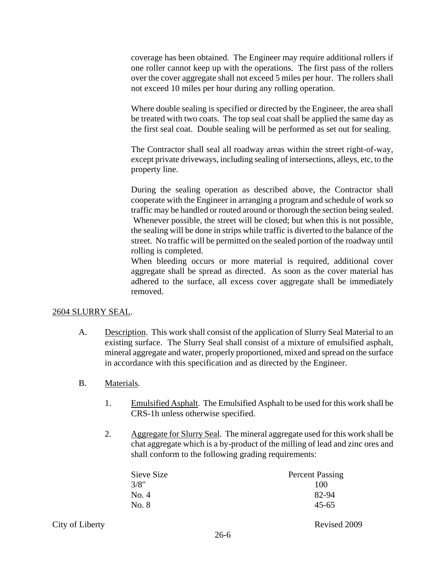coverage has been obtained. The Engineer may require additional rollers if one roller cannot keep up with the operations. The first pass of the rollers over the cover aggregate shall not exceed 5 miles per hour. The rollers shall not exceed 10 miles per hour during any rolling operation.

Where double sealing is specified or directed by the Engineer, the area shall be treated with two coats. The top seal coat shall be applied the same day as the first seal coat. Double sealing will be performed as set out for sealing.

The Contractor shall seal all roadway areas within the street right-of-way, except private driveways, including sealing of intersections, alleys, etc, to the property line.

During the sealing operation as described above, the Contractor shall cooperate with the Engineer in arranging a program and schedule of work so traffic may be handled or routed around or thorough the section being sealed. Whenever possible, the street will be closed; but when this is not possible, the sealing will be done in strips while traffic is diverted to the balance of the street. No traffic will be permitted on the sealed portion of the roadway until rolling is completed.

When bleeding occurs or more material is required, additional cover aggregate shall be spread as directed. As soon as the cover material has adhered to the surface, all excess cover aggregate shall be immediately removed.

#### 2604 SLURRY SEAL.

- A. Description. This work shall consist of the application of Slurry Seal Material to an existing surface. The Slurry Seal shall consist of a mixture of emulsified asphalt, mineral aggregate and water, properly proportioned, mixed and spread on the surface in accordance with this specification and as directed by the Engineer.
- B. Materials.
	- 1. Emulsified Asphalt. The Emulsified Asphalt to be used for this work shall be CRS-1h unless otherwise specified.
	- 2. Aggregate for Slurry Seal. The mineral aggregate used for this work shall be chat aggregate which is a by-product of the milling of lead and zinc ores and shall conform to the following grading requirements:

| Sieve Size | <b>Percent Passing</b> |
|------------|------------------------|
| 3/8"       | 100                    |
| No. 4      | 82-94                  |
| No. 8      | $45 - 65$              |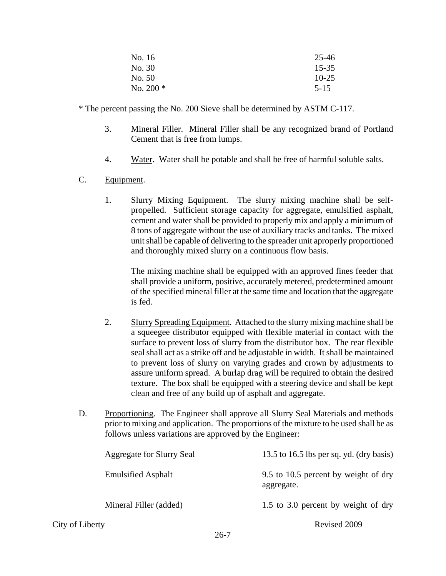| No. 16     | 25-46     |
|------------|-----------|
| No. 30     | $15 - 35$ |
| No. 50     | $10 - 25$ |
| No. $200*$ | $5 - 15$  |

\* The percent passing the No. 200 Sieve shall be determined by ASTM C-117.

- 3. Mineral Filler. Mineral Filler shall be any recognized brand of Portland Cement that is free from lumps.
- 4. Water. Water shall be potable and shall be free of harmful soluble salts.
- C. Equipment.
	- 1. Slurry Mixing Equipment. The slurry mixing machine shall be selfpropelled. Sufficient storage capacity for aggregate, emulsified asphalt, cement and water shall be provided to properly mix and apply a minimum of 8 tons of aggregate without the use of auxiliary tracks and tanks. The mixed unit shall be capable of delivering to the spreader unit aproperly proportioned and thoroughly mixed slurry on a continuous flow basis.

 The mixing machine shall be equipped with an approved fines feeder that shall provide a uniform, positive, accurately metered, predetermined amount of the specified mineral filler at the same time and location that the aggregate is fed.

- 2. Slurry Spreading Equipment. Attached to the slurry mixing machine shall be a squeegee distributor equipped with flexible material in contact with the surface to prevent loss of slurry from the distributor box. The rear flexible seal shall act as a strike off and be adjustable in width. It shall be maintained to prevent loss of slurry on varying grades and crown by adjustments to assure uniform spread. A burlap drag will be required to obtain the desired texture. The box shall be equipped with a steering device and shall be kept clean and free of any build up of asphalt and aggregate.
- D. Proportioning. The Engineer shall approve all Slurry Seal Materials and methods prior to mixing and application. The proportions of the mixture to be used shall be as follows unless variations are approved by the Engineer:

| Aggregate for Slurry Seal | 13.5 to 16.5 lbs per sq. yd. (dry basis)           |
|---------------------------|----------------------------------------------------|
| <b>Emulsified Asphalt</b> | 9.5 to 10.5 percent by weight of dry<br>aggregate. |
| Mineral Filler (added)    | 1.5 to 3.0 percent by weight of dry                |
| City of Liberty           | Revised 2009                                       |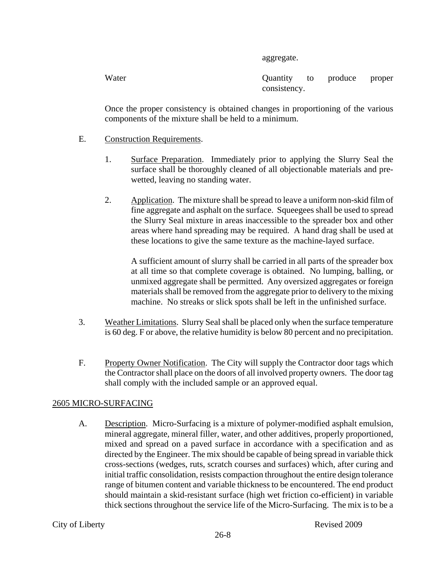aggregate.

Water **Quantity** to produce proper consistency.

Once the proper consistency is obtained changes in proportioning of the various components of the mixture shall be held to a minimum.

- E. Construction Requirements.
	- 1. Surface Preparation. Immediately prior to applying the Slurry Seal the surface shall be thoroughly cleaned of all objectionable materials and prewetted, leaving no standing water.
	- 2. Application. The mixture shall be spread to leave a uniform non-skid film of fine aggregate and asphalt on the surface. Squeegees shall be used to spread the Slurry Seal mixture in areas inaccessible to the spreader box and other areas where hand spreading may be required. A hand drag shall be used at these locations to give the same texture as the machine-layed surface.

A sufficient amount of slurry shall be carried in all parts of the spreader box at all time so that complete coverage is obtained. No lumping, balling, or unmixed aggregate shall be permitted. Any oversized aggregates or foreign materials shall be removed from the aggregate prior to delivery to the mixing machine. No streaks or slick spots shall be left in the unfinished surface.

- 3. Weather Limitations. Slurry Seal shall be placed only when the surface temperature is 60 deg. F or above, the relative humidity is below 80 percent and no precipitation.
- F. Property Owner Notification. The City will supply the Contractor door tags which the Contractor shall place on the doors of all involved property owners. The door tag shall comply with the included sample or an approved equal.

## 2605 MICRO-SURFACING

A. Description. Micro-Surfacing is a mixture of polymer-modified asphalt emulsion, mineral aggregate, mineral filler, water, and other additives, properly proportioned, mixed and spread on a paved surface in accordance with a specification and as directed by the Engineer. The mix should be capable of being spread in variable thick cross-sections (wedges, ruts, scratch courses and surfaces) which, after curing and initial traffic consolidation, resists compaction throughout the entire design tolerance range of bitumen content and variable thickness to be encountered. The end product should maintain a skid-resistant surface (high wet friction co-efficient) in variable thick sections throughout the service life of the Micro-Surfacing. The mix is to be a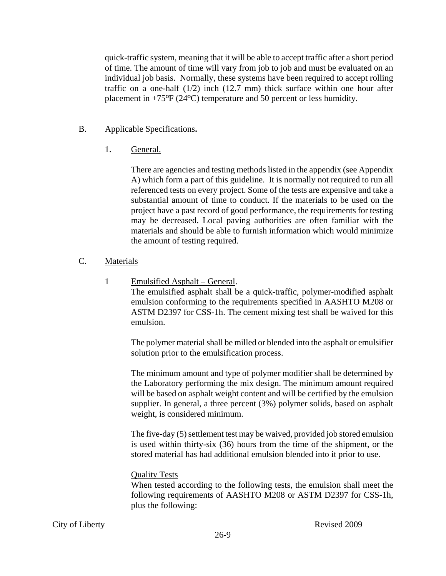quick-traffic system, meaning that it will be able to accept traffic after a short period of time. The amount of time will vary from job to job and must be evaluated on an individual job basis. Normally, these systems have been required to accept rolling traffic on a one-half  $(1/2)$  inch  $(12.7 \text{ mm})$  thick surface within one hour after placement in +75ºF (24ºC) temperature and 50 percent or less humidity.

- B. Applicable Specifications**.** 
	- 1. General.

There are agencies and testing methods listed in the appendix (see Appendix A) which form a part of this guideline. It is normally not required to run all referenced tests on every project. Some of the tests are expensive and take a substantial amount of time to conduct. If the materials to be used on the project have a past record of good performance, the requirements for testing may be decreased. Local paving authorities are often familiar with the materials and should be able to furnish information which would minimize the amount of testing required.

- C. Materials
	- 1 Emulsified Asphalt General.

The emulsified asphalt shall be a quick-traffic, polymer-modified asphalt emulsion conforming to the requirements specified in AASHTO M208 or ASTM D2397 for CSS-1h. The cement mixing test shall be waived for this emulsion.

The polymer material shall be milled or blended into the asphalt or emulsifier solution prior to the emulsification process.

The minimum amount and type of polymer modifier shall be determined by the Laboratory performing the mix design. The minimum amount required will be based on asphalt weight content and will be certified by the emulsion supplier. In general, a three percent (3%) polymer solids, based on asphalt weight, is considered minimum.

The five-day (5) settlement test may be waived, provided job stored emulsion is used within thirty-six (36) hours from the time of the shipment, or the stored material has had additional emulsion blended into it prior to use.

## Quality Tests

When tested according to the following tests, the emulsion shall meet the following requirements of AASHTO M208 or ASTM D2397 for CSS-1h, plus the following: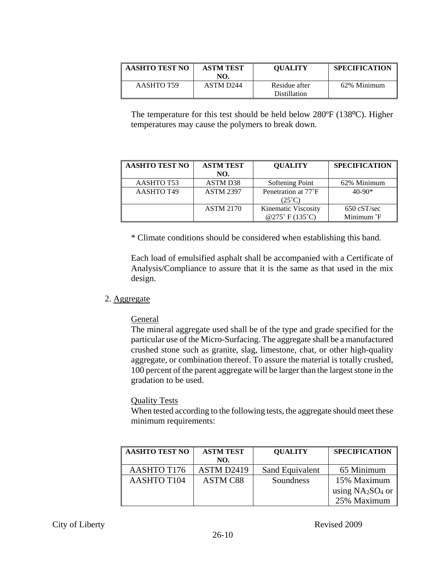| AASHTO TEST NO | <b>ASTM TEST</b><br>NO. | <b>OUALITY</b>                       | <b>SPECIFICATION</b> |
|----------------|-------------------------|--------------------------------------|----------------------|
| AASHTO T59     | ASTM D244               | Residue after<br><b>Distillation</b> | 62% Minimum          |

The temperature for this test should be held below 280ºF (138ºC). Higher temperatures may cause the polymers to break down.

| <b>AASHTO TEST NO</b> | <b>ASTM TEST</b> | <b>QUALITY</b>      | <b>SPECIFICATION</b>   |
|-----------------------|------------------|---------------------|------------------------|
|                       | NO.              |                     |                        |
| AASHTO T53            | <b>ASTM D38</b>  | Softening Point     | 62% Minimum            |
| AASHTO T49            | <b>ASTM 2397</b> | Penetration at 77°F | $40-90*$               |
|                       |                  | $(25^{\circ}C)$     |                        |
|                       | <b>ASTM 2170</b> | Kinematic Viscosity | $650 \text{ cST/sec}$  |
|                       |                  | @275°F(135°C)       | Minimum <sup>°</sup> F |

\* Climate conditions should be considered when establishing this band.

Each load of emulsified asphalt shall be accompanied with a Certificate of Analysis/Compliance to assure that it is the same as that used in the mix design.

#### 2. Aggregate

#### **General**

The mineral aggregate used shall be of the type and grade specified for the particular use of the Micro-Surfacing. The aggregate shall be a manufactured crushed stone such as granite, slag, limestone, chat, or other high-quality aggregate, or combination thereof. To assure the material is totally crushed, 100 percent of the parent aggregate will be larger than the largest stone in the gradation to be used.

#### Quality Tests

When tested according to the following tests, the aggregate should meet these minimum requirements:

| <b>AASHTO TEST NO</b> | <b>ASTM TEST</b> | <b>QUALITY</b>  | <b>SPECIFICATION</b> |
|-----------------------|------------------|-----------------|----------------------|
|                       | NO.              |                 |                      |
| <b>AASHTO T176</b>    | ASTM D2419       | Sand Equivalent | 65 Minimum           |
| <b>AASHTO T104</b>    | <b>ASTM C88</b>  | Soundness       | 15% Maximum          |
|                       |                  |                 | using $NA2SO4$ or    |
|                       |                  |                 | 25% Maximum          |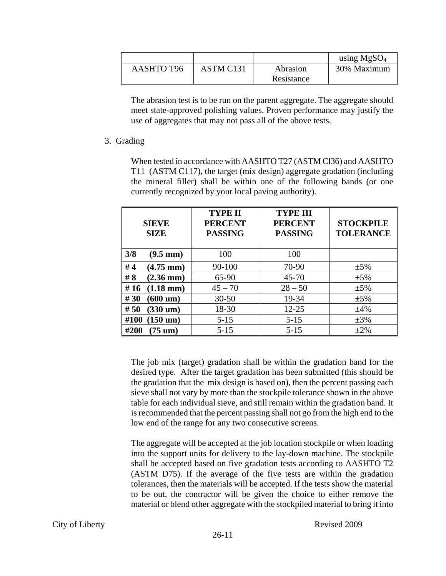|                   |           |            | using $MgSO4$ |
|-------------------|-----------|------------|---------------|
| <b>AASHTO T96</b> | ASTM C131 | Abrasion   | 30% Maximum   |
|                   |           | Resistance |               |

The abrasion test is to be run on the parent aggregate. The aggregate should meet state-approved polishing values. Proven performance may justify the use of aggregates that may not pass all of the above tests.

#### 3. Grading

When tested in accordance with AASHTO T27 (ASTM Cl36) and AASHTO T11 (ASTM C117), the target (mix design) aggregate gradation (including the mineral filler) shall be within one of the following bands (or one currently recognized by your local paving authority).

| <b>SIEVE</b><br><b>SIZE</b>  | <b>TYPE II</b><br><b>PERCENT</b><br><b>PASSING</b> | <b>TYPE III</b><br><b>PERCENT</b><br><b>PASSING</b> | <b>STOCKPILE</b><br><b>TOLERANCE</b> |
|------------------------------|----------------------------------------------------|-----------------------------------------------------|--------------------------------------|
| 3/8<br>$(9.5 \text{ mm})$    | 100                                                | 100                                                 |                                      |
| #4<br>$(4.75 \text{ mm})$    | 90-100                                             | 70-90                                               | $\pm 5\%$                            |
| # $8$<br>$(2.36 \text{ mm})$ | 65-90                                              | $45 - 70$                                           | $\pm 5\%$                            |
| #16<br>$(1.18 \text{ mm})$   | $45 - 70$                                          | $28 - 50$                                           | $\pm 5\%$                            |
| #30<br>$(600 \text{ um})$    | $30 - 50$                                          | 19-34                                               | $\pm 5\%$                            |
| #50<br>$(330 \text{ um})$    | 18-30                                              | $12 - 25$                                           | $\pm 4\%$                            |
| $(150 \text{ um})$<br>#100   | $5 - 15$                                           | $5 - 15$                                            | $\pm 3\%$                            |
| #200<br>$(75 \text{ um})$    | $5 - 15$                                           | $5 - 15$                                            | $\pm 2\%$                            |

The job mix (target) gradation shall be within the gradation band for the desired type. After the target gradation has been submitted (this should be the gradation that the mix design is based on), then the percent passing each sieve shall not vary by more than the stockpile tolerance shown in the above table for each individual sieve, and still remain within the gradation band. It is recommended that the percent passing shall not go from the high end to the low end of the range for any two consecutive screens.

The aggregate will be accepted at the job location stockpile or when loading into the support units for delivery to the lay-down machine. The stockpile shall be accepted based on five gradation tests according to AASHTO T2 (ASTM D75). If the average of the five tests are within the gradation tolerances, then the materials will be accepted. If the tests show the material to be out, the contractor will be given the choice to either remove the material or blend other aggregate with the stockpiled material to bring it into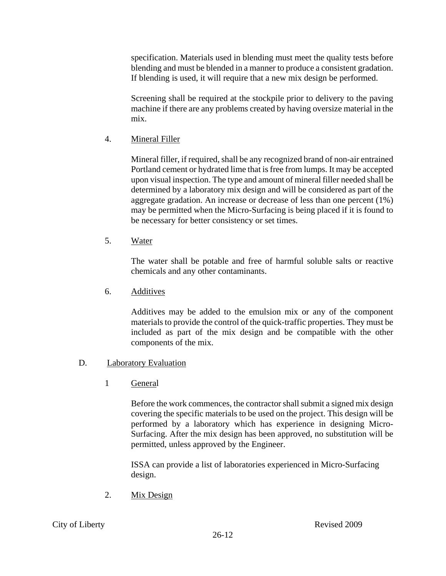specification. Materials used in blending must meet the quality tests before blending and must be blended in a manner to produce a consistent gradation. If blending is used, it will require that a new mix design be performed.

Screening shall be required at the stockpile prior to delivery to the paving machine if there are any problems created by having oversize material in the mix.

4. Mineral Filler

Mineral filler, if required, shall be any recognized brand of non-air entrained Portland cement or hydrated lime that is free from lumps. It may be accepted upon visual inspection. The type and amount of mineral filler needed shall be determined by a laboratory mix design and will be considered as part of the aggregate gradation. An increase or decrease of less than one percent (1%) may be permitted when the Micro-Surfacing is being placed if it is found to be necessary for better consistency or set times.

5. Water

The water shall be potable and free of harmful soluble salts or reactive chemicals and any other contaminants.

6. Additives

Additives may be added to the emulsion mix or any of the component materials to provide the control of the quick-traffic properties. They must be included as part of the mix design and be compatible with the other components of the mix.

## D. Laboratory Evaluation

1 General

Before the work commences, the contractor shall submit a signed mix design covering the specific materials to be used on the project. This design will be performed by a laboratory which has experience in designing Micro-Surfacing. After the mix design has been approved, no substitution will be permitted, unless approved by the Engineer.

ISSA can provide a list of laboratories experienced in Micro-Surfacing design.

2. Mix Design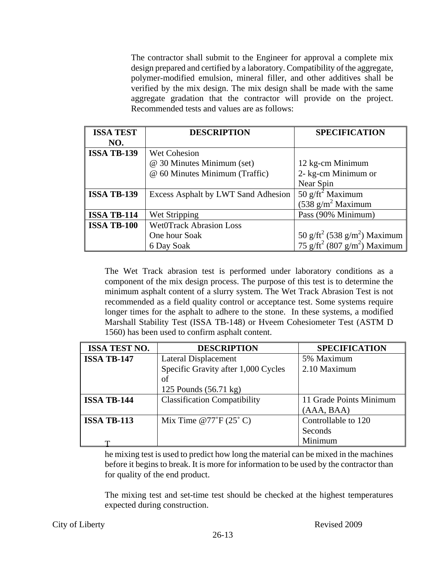The contractor shall submit to the Engineer for approval a complete mix design prepared and certified by a laboratory. Compatibility of the aggregate, polymer-modified emulsion, mineral filler, and other additives shall be verified by the mix design. The mix design shall be made with the same aggregate gradation that the contractor will provide on the project. Recommended tests and values are as follows:

| <b>ISSA TEST</b>   | <b>DESCRIPTION</b>                  | <b>SPECIFICATION</b>                                 |
|--------------------|-------------------------------------|------------------------------------------------------|
| NO.                |                                     |                                                      |
| <b>ISSA TB-139</b> | <b>Wet Cohesion</b>                 |                                                      |
|                    | @ 30 Minutes Minimum (set)          | 12 kg-cm Minimum                                     |
|                    | @ 60 Minutes Minimum (Traffic)      | 2- kg-cm Minimum or                                  |
|                    |                                     | Near Spin                                            |
| <b>ISSA TB-139</b> | Excess Asphalt by LWT Sand Adhesion | 50 $g$ /ft <sup>2</sup> Maximum                      |
|                    |                                     | $(538 \text{ g/m}^2 \text{Maximum})$                 |
| <b>ISSA TB-114</b> | Wet Stripping                       | Pass (90% Minimum)                                   |
| <b>ISSA TB-100</b> | <b>WetOTrack Abrasion Loss</b>      |                                                      |
|                    | One hour Soak                       | 50 g/ft <sup>2</sup> (538 g/m <sup>2</sup> ) Maximum |
|                    | 6 Day Soak                          | 75 g/ft <sup>2</sup> (807 g/m <sup>2</sup> ) Maximum |

The Wet Track abrasion test is performed under laboratory conditions as a component of the mix design process. The purpose of this test is to determine the minimum asphalt content of a slurry system. The Wet Track Abrasion Test is not recommended as a field quality control or acceptance test. Some systems require longer times for the asphalt to adhere to the stone. In these systems, a modified Marshall Stability Test (ISSA TB-148) or Hveem Cohesiometer Test (ASTM D 1560) has been used to confirm asphalt content.

| <b>ISSA TEST NO.</b> | <b>DESCRIPTION</b>                  | <b>SPECIFICATION</b>    |
|----------------------|-------------------------------------|-------------------------|
| <b>ISSA TB-147</b>   | <b>Lateral Displacement</b>         | 5% Maximum              |
|                      | Specific Gravity after 1,000 Cycles | 2.10 Maximum            |
|                      | of                                  |                         |
|                      | 125 Pounds (56.71 kg)               |                         |
| <b>ISSA TB-144</b>   | <b>Classification Compatibility</b> | 11 Grade Points Minimum |
|                      |                                     | (AAA, BAA)              |
| <b>ISSA TB-113</b>   | Mix Time $@77^\circ F (25^\circ C)$ | Controllable to 120     |
|                      |                                     | Seconds                 |
| m                    |                                     | Minimum                 |

he mixing test is used to predict how long the material can be mixed in the machines before it begins to break. It is more for information to be used by the contractor than for quality of the end product.

The mixing test and set-time test should be checked at the highest temperatures expected during construction.

City of Liberty Revised 2009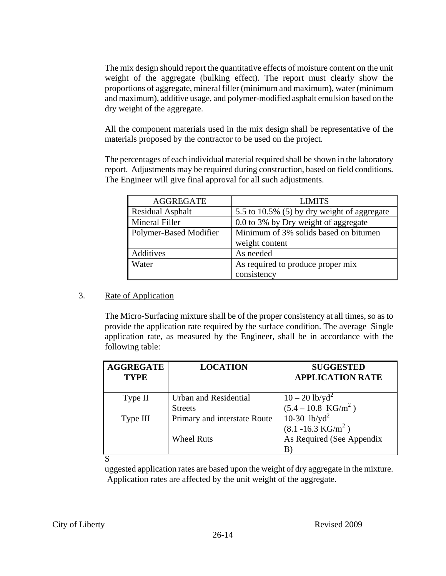The mix design should report the quantitative effects of moisture content on the unit weight of the aggregate (bulking effect). The report must clearly show the proportions of aggregate, mineral filler (minimum and maximum), water (minimum and maximum), additive usage, and polymer-modified asphalt emulsion based on the dry weight of the aggregate.

All the component materials used in the mix design shall be representative of the materials proposed by the contractor to be used on the project.

The percentages of each individual material required shall be shown in the laboratory report. Adjustments may be required during construction, based on field conditions. The Engineer will give final approval for all such adjustments.

| <b>AGGREGATE</b>       | <b>LIMITS</b>                               |  |
|------------------------|---------------------------------------------|--|
| Residual Asphalt       | 5.5 to 10.5% (5) by dry weight of aggregate |  |
| Mineral Filler         | 0.0 to 3% by Dry weight of aggregate        |  |
| Polymer-Based Modifier | Minimum of 3% solids based on bitumen       |  |
|                        | weight content                              |  |
| <b>Additives</b>       | As needed                                   |  |
| Water                  | As required to produce proper mix           |  |
|                        | consistency                                 |  |

## 3. Rate of Application

The Micro-Surfacing mixture shall be of the proper consistency at all times, so as to provide the application rate required by the surface condition. The average Single application rate, as measured by the Engineer, shall be in accordance with the following table:

| <b>AGGREGATE</b><br><b>TYPE</b> | <b>LOCATION</b>              | <b>SUGGESTED</b><br><b>APPLICATION RATE</b> |
|---------------------------------|------------------------------|---------------------------------------------|
| Type II                         | Urban and Residential        | $10 - 20$ lb/yd <sup>2</sup>                |
|                                 | <b>Streets</b>               | $(5.4 - 10.8 \text{ KG/m}^2)$               |
| Type III                        | Primary and interstate Route | 10-30 $1b/yd^2$                             |
|                                 |                              | $(8.1 - 16.3 \text{ KG/m}^2)$               |
|                                 | <b>Wheel Ruts</b>            | As Required (See Appendix                   |
|                                 |                              | B                                           |

S

uggested application rates are based upon the weight of dry aggregate in the mixture. Application rates are affected by the unit weight of the aggregate.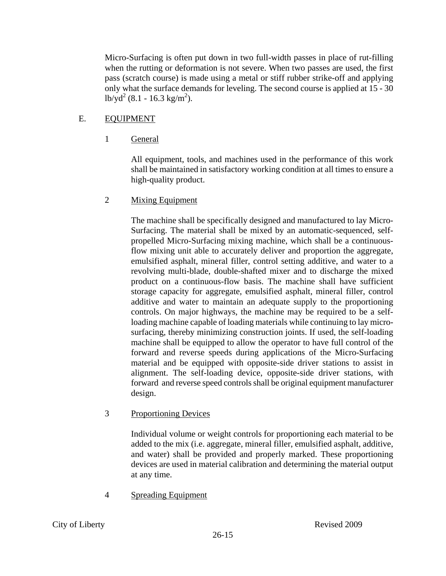Micro-Surfacing is often put down in two full-width passes in place of rut-filling when the rutting or deformation is not severe. When two passes are used, the first pass (scratch course) is made using a metal or stiff rubber strike-off and applying only what the surface demands for leveling. The second course is applied at 15 - 30  $\log^2(8.1 - 16.3 \text{ kg/m}^2)$ .

# E. EQUIPMENT

1 General

All equipment, tools, and machines used in the performance of this work shall be maintained in satisfactory working condition at all times to ensure a high-quality product.

## 2 Mixing Equipment

The machine shall be specifically designed and manufactured to lay Micro-Surfacing. The material shall be mixed by an automatic-sequenced, selfpropelled Micro-Surfacing mixing machine, which shall be a continuousflow mixing unit able to accurately deliver and proportion the aggregate, emulsified asphalt, mineral filler, control setting additive, and water to a revolving multi-blade, double-shafted mixer and to discharge the mixed product on a continuous-flow basis. The machine shall have sufficient storage capacity for aggregate, emulsified asphalt, mineral filler, control additive and water to maintain an adequate supply to the proportioning controls. On major highways, the machine may be required to be a selfloading machine capable of loading materials while continuing to lay microsurfacing, thereby minimizing construction joints. If used, the self-loading machine shall be equipped to allow the operator to have full control of the forward and reverse speeds during applications of the Micro-Surfacing material and be equipped with opposite-side driver stations to assist in alignment. The self-loading device, opposite-side driver stations, with forward and reverse speed controls shall be original equipment manufacturer design.

## 3 Proportioning Devices

Individual volume or weight controls for proportioning each material to be added to the mix (i.e. aggregate, mineral filler, emulsified asphalt, additive, and water) shall be provided and properly marked. These proportioning devices are used in material calibration and determining the material output at any time.

# 4 Spreading Equipment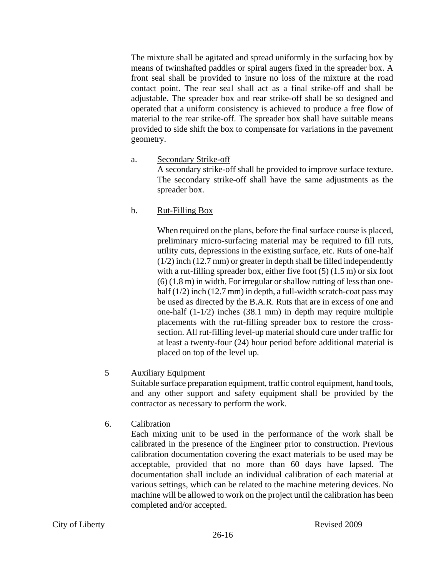The mixture shall be agitated and spread uniformly in the surfacing box by means of twinshafted paddles or spiral augers fixed in the spreader box. A front seal shall be provided to insure no loss of the mixture at the road contact point. The rear seal shall act as a final strike-off and shall be adjustable. The spreader box and rear strike-off shall be so designed and operated that a uniform consistency is achieved to produce a free flow of material to the rear strike-off. The spreader box shall have suitable means provided to side shift the box to compensate for variations in the pavement geometry.

a. Secondary Strike-off

A secondary strike-off shall be provided to improve surface texture. The secondary strike-off shall have the same adjustments as the spreader box.

b. Rut-Filling Box

When required on the plans, before the final surface course is placed, preliminary micro-surfacing material may be required to fill ruts, utility cuts, depressions in the existing surface, etc. Ruts of one-half (1/2) inch (12.7 mm) or greater in depth shall be filled independently with a rut-filling spreader box, either five foot  $(5)$   $(1.5 \text{ m})$  or six foot (6) (1.8 m) in width. For irregular or shallow rutting of less than onehalf  $(1/2)$  inch  $(12.7 \text{ mm})$  in depth, a full-width scratch-coat pass may be used as directed by the B.A.R. Ruts that are in excess of one and one-half (1-1/2) inches (38.1 mm) in depth may require multiple placements with the rut-filling spreader box to restore the crosssection. All rut-filling level-up material should cure under traffic for at least a twenty-four (24) hour period before additional material is placed on top of the level up.

## 5 Auxiliary Equipment

Suitable surface preparation equipment, traffic control equipment, hand tools, and any other support and safety equipment shall be provided by the contractor as necessary to perform the work.

6. Calibration

Each mixing unit to be used in the performance of the work shall be calibrated in the presence of the Engineer prior to construction. Previous calibration documentation covering the exact materials to be used may be acceptable, provided that no more than 60 days have lapsed. The documentation shall include an individual calibration of each material at various settings, which can be related to the machine metering devices. No machine will be allowed to work on the project until the calibration has been completed and/or accepted.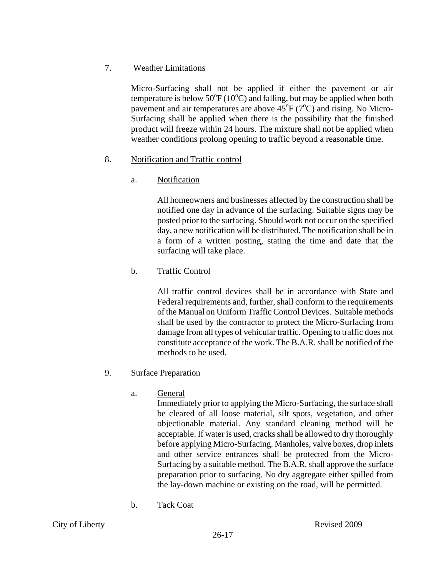## 7. Weather Limitations

Micro-Surfacing shall not be applied if either the pavement or air temperature is below  $50^{\circ}F(10^{\circ}C)$  and falling, but may be applied when both pavement and air temperatures are above  $45^{\circ}F(7^{\circ}C)$  and rising. No Micro-Surfacing shall be applied when there is the possibility that the finished product will freeze within 24 hours. The mixture shall not be applied when weather conditions prolong opening to traffic beyond a reasonable time.

# 8. Notification and Traffic control

# a. Notification

All homeowners and businesses affected by the construction shall be notified one day in advance of the surfacing. Suitable signs may be posted prior to the surfacing. Should work not occur on the specified day, a new notification will be distributed. The notification shall be in a form of a written posting, stating the time and date that the surfacing will take place.

b. Traffic Control

All traffic control devices shall be in accordance with State and Federal requirements and, further, shall conform to the requirements of the Manual on Uniform Traffic Control Devices. Suitable methods shall be used by the contractor to protect the Micro-Surfacing from damage from all types of vehicular traffic. Opening to traffic does not constitute acceptance of the work. The B.A.R. shall be notified of the methods to be used.

## 9. Surface Preparation

a. General

Immediately prior to applying the Micro-Surfacing, the surface shall be cleared of all loose material, silt spots, vegetation, and other objectionable material. Any standard cleaning method will be acceptable. If water is used, cracks shall be allowed to dry thoroughly before applying Micro-Surfacing. Manholes, valve boxes, drop inlets and other service entrances shall be protected from the Micro-Surfacing by a suitable method. The B.A.R. shall approve the surface preparation prior to surfacing. No dry aggregate either spilled from the lay-down machine or existing on the road, will be permitted.

b. Tack Coat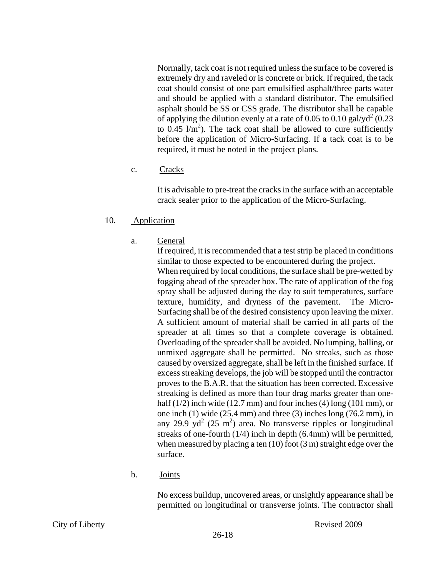Normally, tack coat is not required unless the surface to be covered is extremely dry and raveled or is concrete or brick. If required, the tack coat should consist of one part emulsified asphalt/three parts water and should be applied with a standard distributor. The emulsified asphalt should be SS or CSS grade. The distributor shall be capable of applying the dilution evenly at a rate of 0.05 to 0.10 gal/yd<sup>2</sup> (0.23) to  $0.45$  l/m<sup>2</sup>). The tack coat shall be allowed to cure sufficiently before the application of Micro-Surfacing. If a tack coat is to be required, it must be noted in the project plans.

c. Cracks

It is advisable to pre-treat the cracks in the surface with an acceptable crack sealer prior to the application of the Micro-Surfacing.

- 10. Application
	- a. General

If required, it is recommended that a test strip be placed in conditions similar to those expected to be encountered during the project. When required by local conditions, the surface shall be pre-wetted by fogging ahead of the spreader box. The rate of application of the fog spray shall be adjusted during the day to suit temperatures, surface texture, humidity, and dryness of the pavement. The Micro-Surfacing shall be of the desired consistency upon leaving the mixer. A sufficient amount of material shall be carried in all parts of the spreader at all times so that a complete coverage is obtained. Overloading of the spreader shall be avoided. No lumping, balling, or unmixed aggregate shall be permitted. No streaks, such as those caused by oversized aggregate, shall be left in the finished surface. If excess streaking develops, the job will be stopped until the contractor proves to the B.A.R. that the situation has been corrected. Excessive streaking is defined as more than four drag marks greater than onehalf  $(1/2)$  inch wide  $(12.7 \text{ mm})$  and four inches  $(4)$  long  $(101 \text{ mm})$ , or one inch (1) wide (25.4 mm) and three (3) inches long (76.2 mm), in any 29.9 yd<sup>2</sup> (25 m<sup>2</sup>) area. No transverse ripples or longitudinal streaks of one-fourth (1/4) inch in depth (6.4mm) will be permitted, when measured by placing a ten (10) foot (3 m) straight edge over the surface.

b. Joints

No excess buildup, uncovered areas, or unsightly appearance shall be permitted on longitudinal or transverse joints. The contractor shall

City of Liberty **Revised 2009**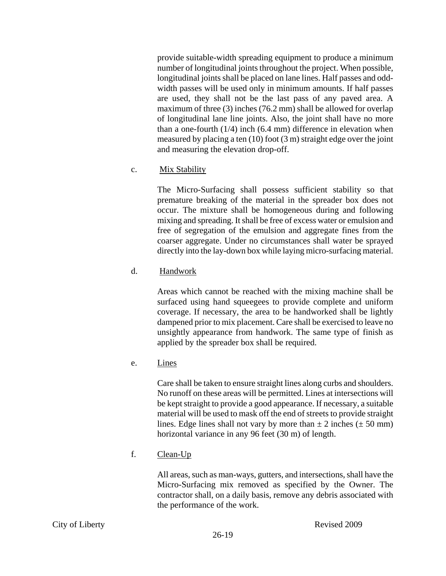provide suitable-width spreading equipment to produce a minimum number of longitudinal joints throughout the project. When possible, longitudinal joints shall be placed on lane lines. Half passes and oddwidth passes will be used only in minimum amounts. If half passes are used, they shall not be the last pass of any paved area. A maximum of three (3) inches (76.2 mm) shall be allowed for overlap of longitudinal lane line joints. Also, the joint shall have no more than a one-fourth (1/4) inch (6.4 mm) difference in elevation when measured by placing a ten (10) foot (3 m) straight edge over the joint and measuring the elevation drop-off.

#### c. Mix Stability

The Micro-Surfacing shall possess sufficient stability so that premature breaking of the material in the spreader box does not occur. The mixture shall be homogeneous during and following mixing and spreading. It shall be free of excess water or emulsion and free of segregation of the emulsion and aggregate fines from the coarser aggregate. Under no circumstances shall water be sprayed directly into the lay-down box while laying micro-surfacing material.

## d. Handwork

Areas which cannot be reached with the mixing machine shall be surfaced using hand squeegees to provide complete and uniform coverage. If necessary, the area to be handworked shall be lightly dampened prior to mix placement. Care shall be exercised to leave no unsightly appearance from handwork. The same type of finish as applied by the spreader box shall be required.

e. Lines

Care shall be taken to ensure straight lines along curbs and shoulders. No runoff on these areas will be permitted. Lines at intersections will be kept straight to provide a good appearance. If necessary, a suitable material will be used to mask off the end of streets to provide straight lines. Edge lines shall not vary by more than  $\pm 2$  inches ( $\pm 50$  mm) horizontal variance in any 96 feet (30 m) of length.

f. Clean-Up

All areas, such as man-ways, gutters, and intersections, shall have the Micro-Surfacing mix removed as specified by the Owner. The contractor shall, on a daily basis, remove any debris associated with the performance of the work.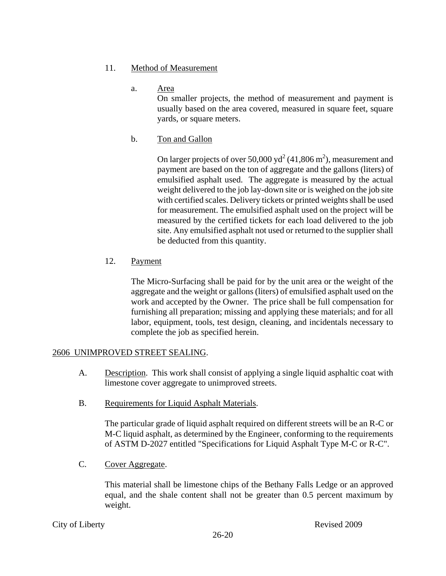- 11. Method of Measurement
	- a. Area

On smaller projects, the method of measurement and payment is usually based on the area covered, measured in square feet, square yards, or square meters.

b. Ton and Gallon

On larger projects of over 50,000 yd<sup>2</sup> (41,806 m<sup>2</sup>), measurement and payment are based on the ton of aggregate and the gallons (liters) of emulsified asphalt used. The aggregate is measured by the actual weight delivered to the job lay-down site or is weighed on the job site with certified scales. Delivery tickets or printed weights shall be used for measurement. The emulsified asphalt used on the project will be measured by the certified tickets for each load delivered to the job site. Any emulsified asphalt not used or returned to the supplier shall be deducted from this quantity.

12. Payment

The Micro-Surfacing shall be paid for by the unit area or the weight of the aggregate and the weight or gallons (liters) of emulsified asphalt used on the work and accepted by the Owner. The price shall be full compensation for furnishing all preparation; missing and applying these materials; and for all labor, equipment, tools, test design, cleaning, and incidentals necessary to complete the job as specified herein.

## 2606 UNIMPROVED STREET SEALING.

- A. Description. This work shall consist of applying a single liquid asphaltic coat with limestone cover aggregate to unimproved streets.
- B. Requirements for Liquid Asphalt Materials.

The particular grade of liquid asphalt required on different streets will be an R-C or M-C liquid asphalt, as determined by the Engineer, conforming to the requirements of ASTM D-2027 entitled "Specifications for Liquid Asphalt Type M-C or R-C".

C. Cover Aggregate.

This material shall be limestone chips of the Bethany Falls Ledge or an approved equal, and the shale content shall not be greater than 0.5 percent maximum by weight.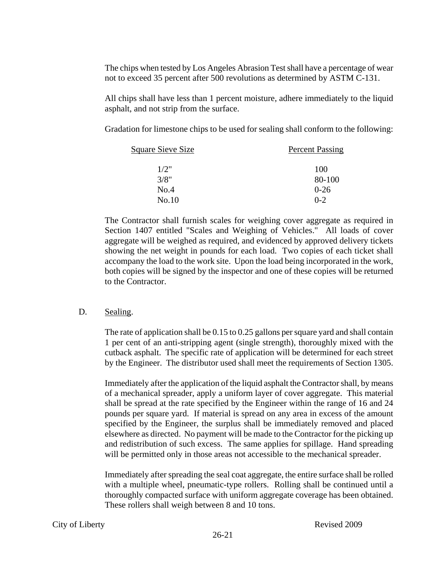The chips when tested by Los Angeles Abrasion Test shall have a percentage of wear not to exceed 35 percent after 500 revolutions as determined by ASTM C-131.

All chips shall have less than 1 percent moisture, adhere immediately to the liquid asphalt, and not strip from the surface.

Gradation for limestone chips to be used for sealing shall conform to the following:

| <b>Square Sieve Size</b> | <b>Percent Passing</b> |  |
|--------------------------|------------------------|--|
| 1/2"                     | 100                    |  |
| 3/8"                     | 80-100                 |  |
| No.4                     | $0 - 26$               |  |
| No.10                    | $0 - 2$                |  |

The Contractor shall furnish scales for weighing cover aggregate as required in Section 1407 entitled "Scales and Weighing of Vehicles." All loads of cover aggregate will be weighed as required, and evidenced by approved delivery tickets showing the net weight in pounds for each load. Two copies of each ticket shall accompany the load to the work site. Upon the load being incorporated in the work, both copies will be signed by the inspector and one of these copies will be returned to the Contractor.

#### D. Sealing.

The rate of application shall be 0.15 to 0.25 gallons per square yard and shall contain 1 per cent of an anti-stripping agent (single strength), thoroughly mixed with the cutback asphalt. The specific rate of application will be determined for each street by the Engineer. The distributor used shall meet the requirements of Section 1305.

Immediately after the application of the liquid asphalt the Contractor shall, by means of a mechanical spreader, apply a uniform layer of cover aggregate. This material shall be spread at the rate specified by the Engineer within the range of 16 and 24 pounds per square yard. If material is spread on any area in excess of the amount specified by the Engineer, the surplus shall be immediately removed and placed elsewhere as directed. No payment will be made to the Contractor for the picking up and redistribution of such excess. The same applies for spillage. Hand spreading will be permitted only in those areas not accessible to the mechanical spreader.

Immediately after spreading the seal coat aggregate, the entire surface shall be rolled with a multiple wheel, pneumatic-type rollers. Rolling shall be continued until a thoroughly compacted surface with uniform aggregate coverage has been obtained. These rollers shall weigh between 8 and 10 tons.